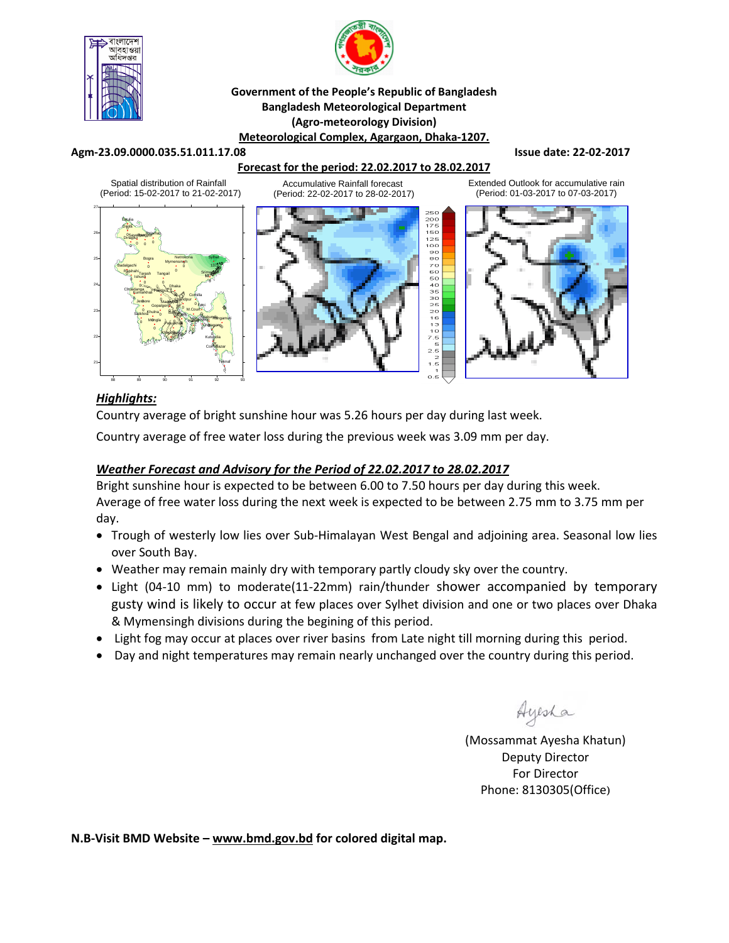



#### **Government of the People's Republic of Bangladesh Bangladesh Meteorological Department (Agro‐meteorology Division) Meteorological Complex, Agargaon, Dhaka‐1207.**

#### **Agm‐23.09.0000.035.51.011.17.08 Issue date: 22‐02‐2017**

### **Forecast for the period: 22.02.2017 to 28.02.2017**

Spatial distribution of Rainfall (Period: 15-02-2017 to 21-02-2017)

> Dhaka **Faridpur** Madaripur

0 0 0

**Bargain** Patuakhali Khepupara

 $9<sub>n</sub>$ 0 0

Rajshahi Tarash Tangal <sup>0</sup> Srimongal Srimongal Srimongal Srimongal Srimongal Srimongal Srimongal Srimongal Srimongal Srimongal Srimongal Srimongal Srimongal Srimongal Srimongal Srimongal Srimongal Srimongal Srimongal Srimo

 $\mathbb{C}$  .  $\mathbb{C}$ 

Chittagong Sitakunda <sub>ngamati</sub>

0 0 agong<sub>u</sub>

Sylhet

137

HatiyaSandwip **Kutubdia** 

0 0 0

Feni M.Court **Chandpur** Comilla

0 0 0 0

> Cox<sup>1</sup>BBazar Teknaf

0 0

Mymensingh Netrokona

> 0 0

Tangail

Bogra Ishurdi Badalgachi Tarash

0 0 0 0

DSayedpung Barathat Tetulia Dimla

 $\dot{\bm{\gamma}}$ °  $^{\circ}$ 0

Gopalgonj

0

Khulna Mongla **Jessore** Chuadanga

Satkhira Kumarkhali

0 0



Accumulative Rainfall forecast

Extended Outlook for accumulative rain (Period: 01-03-2017 to 07-03-2017)



## *Highlights:*

21

22

23

24

25

26

27

Country average of bright sunshine hour was 5.26 hours per day during last week.

Country average of free water loss during the previous week was 3.09 mm per day.

### *Weather Forecast and Advisory for the Period of 22.02.2017 to 28.02.2017*

Bright sunshine hour is expected to be between 6.00 to 7.50 hours per day during this week. Average of free water loss during the next week is expected to be between 2.75 mm to 3.75 mm per day.

- Trough of westerly low lies over Sub-Himalayan West Bengal and adjoining area. Seasonal low lies over South Bay.
- Weather may remain mainly dry with temporary partly cloudy sky over the country.
- Light (04‐10 mm) to moderate(11‐22mm) rain/thunder shower accompanied by temporary gusty wind is likely to occur at few places over Sylhet division and one or two places over Dhaka & Mymensingh divisions during the begining of this period.
- Light fog may occur at places over river basins from Late night till morning during this period.
- Day and night temperatures may remain nearly unchanged over the country during this period.

Ayesha

(Mossammat Ayesha Khatun) Deputy Director For Director Phone: 8130305(Office)

**N.B‐Visit BMD Website – www.bmd.gov.bd for colored digital map.**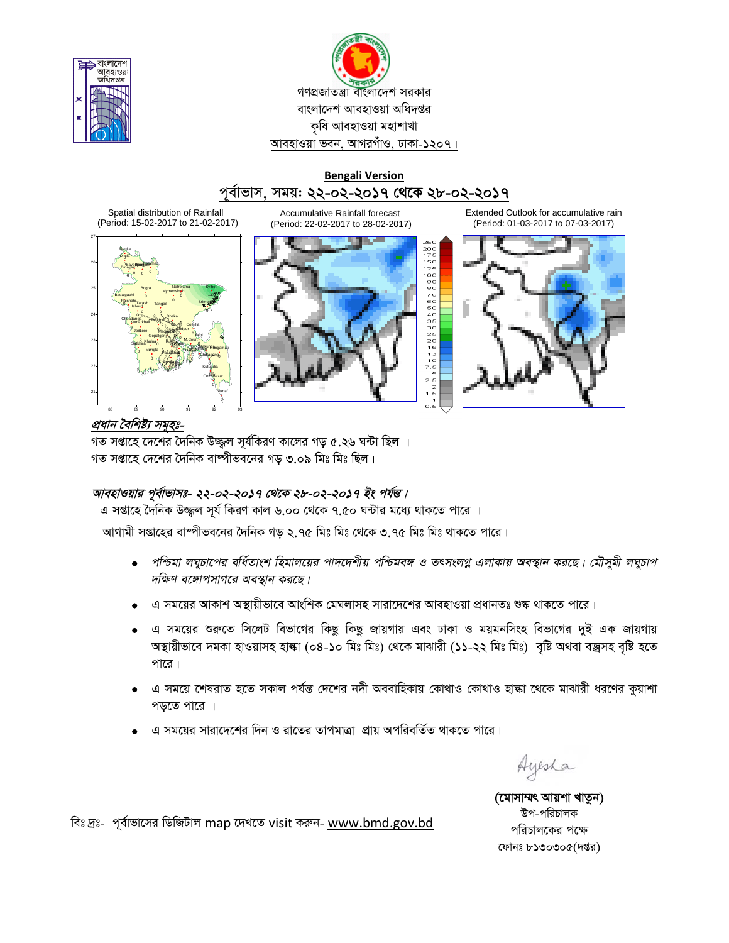



## **Bengali Version** পূৰ্বাভাস, সময়: **২২-০২-২০১৭ থেকে ২৮-০২-২০১৭**

Spatial distribution of Rainfall (Period: 15-02-2017 to 21-02-2017)



Accumulative Rainfall forecast (Period: 22-02-2017 to 28-02-2017)



Extended Outlook for accumulative rain (Period: 01-03-2017 to 07-03-2017)



## *প্রধান বৈশিষ্ট্য সমূহঃ-*

গত সপ্তাহে দেশের দৈনিক উজ্জ্বল সূর্যকিরণ কালের গড় ৫.২৬ ঘন্টা ছিল । গত সপ্তাহে দেশের দৈনিক বাষ্পীভবনের গড় ৩.০৯ মিঃ মিঃ ছিল।

# <u> আবহাওয়ার পূর্বাভাসঃ- ২২-০২-২০১৭ থেকে ২৮-০২-২০১৭ ইং পর্যন্ত।</u>

 $\overline{a}$  সপ্তাহে দৈনিক উজ্জল সূর্য কিরণ কাল ৬.০০ থেকে ৭.৫০ ঘন্টার মধ্যে থাকতে পারে ।

আগামী সপ্তাহের বাষ্পীভবনের দৈনিক গড় ২.৭৫ মিঃ মিঃ থেকে ৩.৭৫ মিঃ মিঃ থাকতে পারে।

- $\bullet$  পশ্চিমা লঘুচাপের বর্ধিতাংশ হিমালয়ের পাদদেশীয় পশ্চিমবঙ্গ ও তৎসংলগ্ন এলাকায় অবস্থান করছে। মৌসুমী লঘুচাপ *দক্ষিণ বঙ্গোপসাগরে অবস্থান করছে।*
- 'এ সময়ের আকাশ অস্থায়ীভাবে আংশিক মেঘলাসহ সারাদেশের আবহাওয়া প্রধানতঃ শুষ্ক থাকতে পারে।
- এ সময়ের শুরুতে সিলেট বিভাগের কিছু কিছু জায়গায় এবং ঢাকা ও ময়মনসিংহ বিভাগের দুই এক জায়গায় অস্থায়ীভাবে দমকা হাওয়াসহ হাল্কা (০৪-১০ মিঃ মিঃ) থেকে মাঝারী (১১-২২ মিঃ মিঃ) বৃষ্টি অথবা বজ্রসহ বৃষ্টি হতে পারে $|$
- এ সময়ে শেষরাত হতে সকাল পর্যন্ত দেশের নদী অববাহিকায় কোথাও কোথাও হাল্কা থেকে মাঝারী ধরণের কুয়াশা পড়তে পারে ।
- এ সময়ের সারাদেশের দিন ও রাতের তাপমাত্রা প্রায় অপরিবর্তিত থাকতে পারে।

Ayesha

(মোসাম্মৎ আয়শা খাতুন) উপ-পরিচালক পরিচালকের পক্ষে ফোনঃ  $b$ ১৩০৩০ $\alpha$ (দপ্তর)

বিঃ দ্রঃ- পূর্বাভাসের ডিজিটাল map দেখতে visit করুন- www.bmd.gov.bd